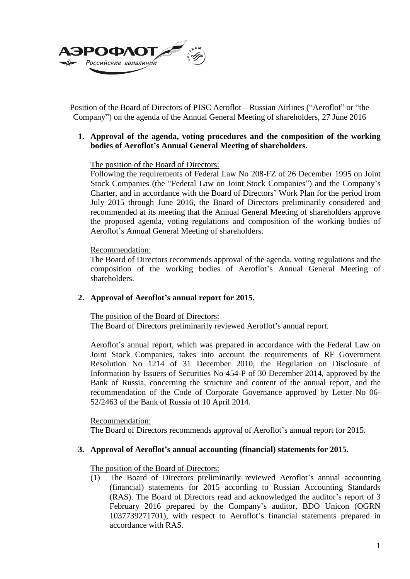

Position of the Board of Directors of PJSC Aeroflot – Russian Airlines ("Aeroflot" or "the Company") on the agenda of the Annual General Meeting of shareholders, 27 June 2016

# **1. Approval of the agenda, voting procedures and the composition of the working bodies of Aeroflot's Annual General Meeting of shareholders.**

### The position of the Board of Directors:

Following the requirements of Federal Law No 208-FZ of 26 December 1995 on Joint Stock Companies (the "Federal Law on Joint Stock Companies") and the Company's Charter, and in accordance with the Board of Directors' Work Plan for the period from July 2015 through June 2016, the Board of Directors preliminarily considered and recommended at its meeting that the Annual General Meeting of shareholders approve the proposed agenda, voting regulations and composition of the working bodies of Aeroflot's Annual General Meeting of shareholders.

### Recommendation:

The Board of Directors recommends approval of the agenda, voting regulations and the composition of the working bodies of Aeroflot's Annual General Meeting of shareholders.

### **2. Approval of Aeroflot's annual report for 2015.**

The position of the Board of Directors: The Board of Directors preliminarily reviewed Aeroflot's annual report.

Aeroflot's annual report, which was prepared in accordance with the Federal Law on Joint Stock Companies, takes into account the requirements of RF Government Resolution No 1214 of 31 December 2010, the Regulation on Disclosure of Information by Issuers of Securities No 454-P of 30 December 2014, approved by the Bank of Russia, concerning the structure and content of the annual report, and the recommendation of the Code of Corporate Governance approved by Letter No 06- 52/2463 of the Bank of Russia of 10 April 2014.

Recommendation:

The Board of Directors recommends approval of Aeroflot's annual report for 2015.

### **3. Approval of Aeroflot's annual accounting (financial) statements for 2015.**

The position of the Board of Directors:

(1) The Board of Directors preliminarily reviewed Aeroflot's annual accounting (financial) statements for 2015 according to Russian Accounting Standards (RAS). The Board of Directors read and acknowledged the auditor's report of 3 February 2016 prepared by the Company's auditor, BDO Unicon (OGRN 1037739271701), with respect to Aeroflot's financial statements prepared in accordance with RAS.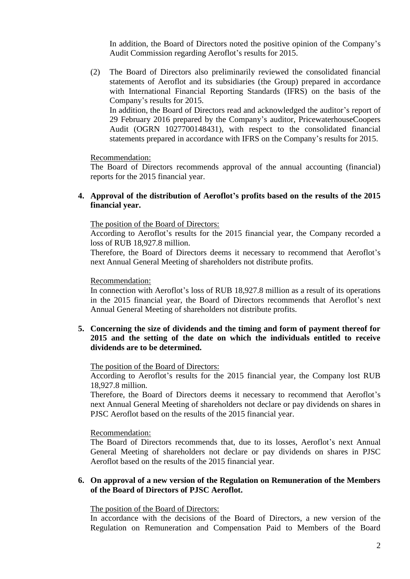In addition, the Board of Directors noted the positive opinion of the Company's Audit Commission regarding Aeroflot's results for 2015.

(2) The Board of Directors also preliminarily reviewed the consolidated financial statements of Aeroflot and its subsidiaries (the Group) prepared in accordance with International Financial Reporting Standards (IFRS) on the basis of the Company's results for 2015. In addition, the Board of Directors read and acknowledged the auditor's report of

29 February 2016 prepared by the Company's auditor, PricewaterhouseCoopers Audit (OGRN 1027700148431), with respect to the consolidated financial statements prepared in accordance with IFRS on the Company's results for 2015.

Recommendation:

The Board of Directors recommends approval of the annual accounting (financial) reports for the 2015 financial year.

### **4. Approval of the distribution of Aeroflot's profits based on the results of the 2015 financial year.**

The position of the Board of Directors:

According to Aeroflot's results for the 2015 financial year, the Company recorded a loss of RUB 18,927.8 million.

Therefore, the Board of Directors deems it necessary to recommend that Aeroflot's next Annual General Meeting of shareholders not distribute profits.

### Recommendation:

In connection with Aeroflot's loss of RUB 18,927.8 million as a result of its operations in the 2015 financial year, the Board of Directors recommends that Aeroflot's next Annual General Meeting of shareholders not distribute profits.

### **5. Concerning the size of dividends and the timing and form of payment thereof for 2015 and the setting of the date on which the individuals entitled to receive dividends are to be determined.**

The position of the Board of Directors:

According to Aeroflot's results for the 2015 financial year, the Company lost RUB 18,927.8 million.

Therefore, the Board of Directors deems it necessary to recommend that Aeroflot's next Annual General Meeting of shareholders not declare or pay dividends on shares in PJSC Aeroflot based on the results of the 2015 financial year.

Recommendation:

The Board of Directors recommends that, due to its losses, Aeroflot's next Annual General Meeting of shareholders not declare or pay dividends on shares in PJSC Aeroflot based on the results of the 2015 financial year.

# **6. On approval of a new version of the Regulation on Remuneration of the Members of the Board of Directors of PJSC Aeroflot.**

The position of the Board of Directors:

In accordance with the decisions of the Board of Directors, a new version of the Regulation on Remuneration and Compensation Paid to Members of the Board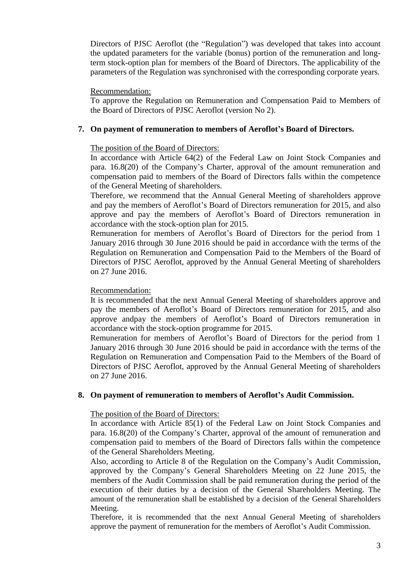Directors of PJSC Aeroflot (the "Regulation") was developed that takes into account the updated parameters for the variable (bonus) portion of the remuneration and longterm stock-option plan for members of the Board of Directors. The applicability of the parameters of the Regulation was synchronised with the corresponding corporate years.

### Recommendation:

To approve the Regulation on Remuneration and Compensation Paid to Members of the Board of Directors of PJSC Aeroflot (version No 2).

# **7. On payment of remuneration to members of Aeroflot's Board of Directors.**

# The position of the Board of Directors:

In accordance with Article 64(2) of the Federal Law on Joint Stock Companies and para. 16.8(20) of the Company's Charter, approval of the amount remuneration and compensation paid to members of the Board of Directors falls within the competence of the General Meeting of shareholders.

Therefore, we recommend that the Annual General Meeting of shareholders approve and pay the members of Aeroflot's Board of Directors remuneration for 2015, and also approve and pay the members of Aeroflot's Board of Directors remuneration in accordance with the stock-option plan for 2015.

Remuneration for members of Aeroflot's Board of Directors for the period from 1 January 2016 through 30 June 2016 should be paid in accordance with the terms of the Regulation on Remuneration and Compensation Paid to the Members of the Board of Directors of PJSC Aeroflot, approved by the Annual General Meeting of shareholders on 27 June 2016.

### Recommendation:

It is recommended that the next Annual General Meeting of shareholders approve and pay the members of Aeroflot's Board of Directors remuneration for 2015, and also approve andpay the members of Aeroflot's Board of Directors remuneration in accordance with the stock-option programme for 2015.

Remuneration for members of Aeroflot's Board of Directors for the period from 1 January 2016 through 30 June 2016 should be paid in accordance with the terms of the Regulation on Remuneration and Compensation Paid to the Members of the Board of Directors of PJSC Aeroflot, approved by the Annual General Meeting of shareholders on 27 June 2016.

### **8. On payment of remuneration to members of Aeroflot's Audit Commission.**

### The position of the Board of Directors:

In accordance with Article 85(1) of the Federal Law on Joint Stock Companies and para. 16.8(20) of the Company's Charter, approval of the amount of remuneration and compensation paid to members of the Board of Directors falls within the competence of the General Shareholders Meeting.

Also, according to Article 8 of the Regulation on the Company's Audit Commission, approved by the Company's General Shareholders Meeting on 22 June 2015, the members of the Audit Commission shall be paid remuneration during the period of the execution of their duties by a decision of the General Shareholders Meeting. The amount of the remuneration shall be established by a decision of the General Shareholders Meeting.

Therefore, it is recommended that the next Annual General Meeting of shareholders approve the payment of remuneration for the members of Aeroflot's Audit Commission.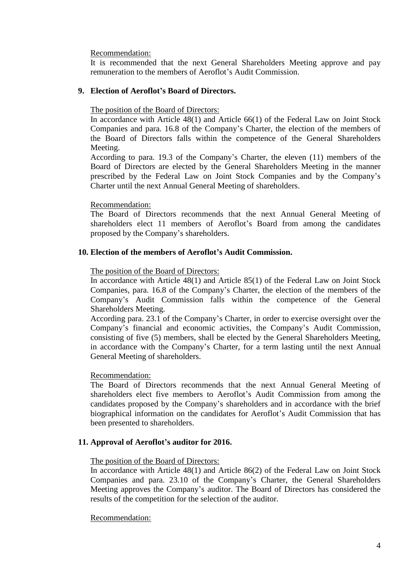Recommendation:

It is recommended that the next General Shareholders Meeting approve and pay remuneration to the members of Aeroflot's Audit Commission.

# **9. Election of Aeroflot's Board of Directors.**

The position of the Board of Directors:

In accordance with Article 48(1) and Article 66(1) of the Federal Law on Joint Stock Companies and para. 16.8 of the Company's Charter, the election of the members of the Board of Directors falls within the competence of the General Shareholders Meeting.

According to para. 19.3 of the Company's Charter, the eleven (11) members of the Board of Directors are elected by the General Shareholders Meeting in the manner prescribed by the Federal Law on Joint Stock Companies and by the Company's Charter until the next Annual General Meeting of shareholders.

### Recommendation:

The Board of Directors recommends that the next Annual General Meeting of shareholders elect 11 members of Aeroflot's Board from among the candidates proposed by the Company's shareholders.

# **10. Election of the members of Aeroflot's Audit Commission.**

### The position of the Board of Directors:

In accordance with Article 48(1) and Article 85(1) of the Federal Law on Joint Stock Companies, para. 16.8 of the Company's Charter, the election of the members of the Company's Audit Commission falls within the competence of the General Shareholders Meeting.

According para. 23.1 of the Company's Charter, in order to exercise oversight over the Company's financial and economic activities, the Company's Audit Commission, consisting of five (5) members, shall be elected by the General Shareholders Meeting, in accordance with the Company's Charter, for a term lasting until the next Annual General Meeting of shareholders.

### Recommendation:

The Board of Directors recommends that the next Annual General Meeting of shareholders elect five members to Aeroflot's Audit Commission from among the candidates proposed by the Company's shareholders and in accordance with the brief biographical information on the candidates for Aeroflot's Audit Commission that has been presented to shareholders.

### **11. Approval of Aeroflot's auditor for 2016.**

### The position of the Board of Directors:

In accordance with Article 48(1) and Article 86(2) of the Federal Law on Joint Stock Companies and para. 23.10 of the Company's Charter, the General Shareholders Meeting approves the Company's auditor. The Board of Directors has considered the results of the competition for the selection of the auditor.

### Recommendation: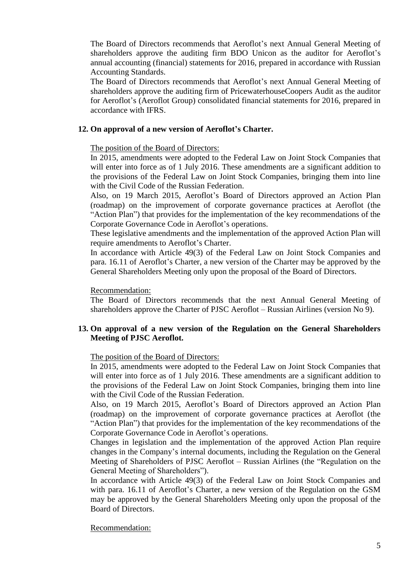The Board of Directors recommends that Aeroflot's next Annual General Meeting of shareholders approve the auditing firm BDO Unicon as the auditor for Aeroflot's annual accounting (financial) statements for 2016, prepared in accordance with Russian Accounting Standards.

The Board of Directors recommends that Aeroflot's next Annual General Meeting of shareholders approve the auditing firm of PricewaterhouseCoopers Audit as the auditor for Aeroflot's (Aeroflot Group) consolidated financial statements for 2016, prepared in accordance with IFRS.

# **12. On approval of a new version of Aeroflot's Charter.**

# The position of the Board of Directors:

In 2015, amendments were adopted to the Federal Law on Joint Stock Companies that will enter into force as of 1 July 2016. These amendments are a significant addition to the provisions of the Federal Law on Joint Stock Companies, bringing them into line with the Civil Code of the Russian Federation.

Also, on 19 March 2015, Aeroflot's Board of Directors approved an Action Plan (roadmap) on the improvement of corporate governance practices at Aeroflot (the "Action Plan") that provides for the implementation of the key recommendations of the Corporate Governance Code in Aeroflot's operations.

These legislative amendments and the implementation of the approved Action Plan will require amendments to Aeroflot's Charter.

In accordance with Article 49(3) of the Federal Law on Joint Stock Companies and para. 16.11 of Aeroflot's Charter, a new version of the Charter may be approved by the General Shareholders Meeting only upon the proposal of the Board of Directors.

### Recommendation:

The Board of Directors recommends that the next Annual General Meeting of shareholders approve the Charter of PJSC Aeroflot – Russian Airlines (version No 9).

# **13. On approval of a new version of the Regulation on the General Shareholders Meeting of PJSC Aeroflot.**

### The position of the Board of Directors:

In 2015, amendments were adopted to the Federal Law on Joint Stock Companies that will enter into force as of 1 July 2016. These amendments are a significant addition to the provisions of the Federal Law on Joint Stock Companies, bringing them into line with the Civil Code of the Russian Federation.

Also, on 19 March 2015, Aeroflot's Board of Directors approved an Action Plan (roadmap) on the improvement of corporate governance practices at Aeroflot (the "Action Plan") that provides for the implementation of the key recommendations of the Corporate Governance Code in Aeroflot's operations.

Changes in legislation and the implementation of the approved Action Plan require changes in the Company's internal documents, including the Regulation on the General Meeting of Shareholders of PJSC Aeroflot – Russian Airlines (the "Regulation on the General Meeting of Shareholders").

In accordance with Article 49(3) of the Federal Law on Joint Stock Companies and with para. 16.11 of Aeroflot's Charter, a new version of the Regulation on the GSM may be approved by the General Shareholders Meeting only upon the proposal of the Board of Directors.

### Recommendation: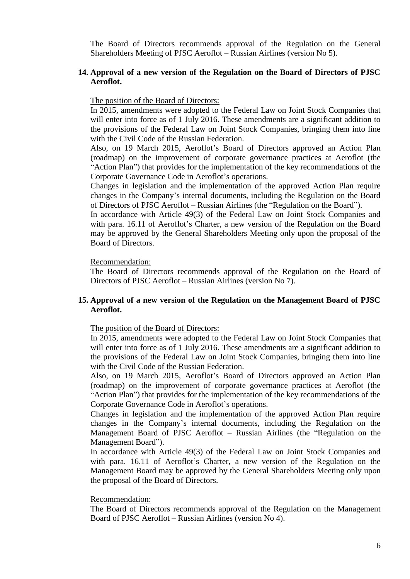The Board of Directors recommends approval of the Regulation on the General Shareholders Meeting of PJSC Aeroflot – Russian Airlines (version No 5).

# **14. Approval of a new version of the Regulation on the Board of Directors of PJSC Aeroflot.**

### The position of the Board of Directors:

In 2015, amendments were adopted to the Federal Law on Joint Stock Companies that will enter into force as of 1 July 2016. These amendments are a significant addition to the provisions of the Federal Law on Joint Stock Companies, bringing them into line with the Civil Code of the Russian Federation.

Also, on 19 March 2015, Aeroflot's Board of Directors approved an Action Plan (roadmap) on the improvement of corporate governance practices at Aeroflot (the "Action Plan") that provides for the implementation of the key recommendations of the Corporate Governance Code in Aeroflot's operations.

Changes in legislation and the implementation of the approved Action Plan require changes in the Company's internal documents, including the Regulation on the Board of Directors of PJSC Aeroflot – Russian Airlines (the "Regulation on the Board").

In accordance with Article 49(3) of the Federal Law on Joint Stock Companies and with para. 16.11 of Aeroflot's Charter, a new version of the Regulation on the Board may be approved by the General Shareholders Meeting only upon the proposal of the Board of Directors.

# Recommendation:

The Board of Directors recommends approval of the Regulation on the Board of Directors of PJSC Aeroflot – Russian Airlines (version No 7).

# **15. Approval of a new version of the Regulation on the Management Board of PJSC Aeroflot.**

The position of the Board of Directors:

In 2015, amendments were adopted to the Federal Law on Joint Stock Companies that will enter into force as of 1 July 2016. These amendments are a significant addition to the provisions of the Federal Law on Joint Stock Companies, bringing them into line with the Civil Code of the Russian Federation.

Also, on 19 March 2015, Aeroflot's Board of Directors approved an Action Plan (roadmap) on the improvement of corporate governance practices at Aeroflot (the "Action Plan") that provides for the implementation of the key recommendations of the Corporate Governance Code in Aeroflot's operations.

Changes in legislation and the implementation of the approved Action Plan require changes in the Company's internal documents, including the Regulation on the Management Board of PJSC Aeroflot – Russian Airlines (the "Regulation on the Management Board").

In accordance with Article 49(3) of the Federal Law on Joint Stock Companies and with para. 16.11 of Aeroflot's Charter, a new version of the Regulation on the Management Board may be approved by the General Shareholders Meeting only upon the proposal of the Board of Directors.

### Recommendation:

The Board of Directors recommends approval of the Regulation on the Management Board of PJSC Aeroflot – Russian Airlines (version No 4).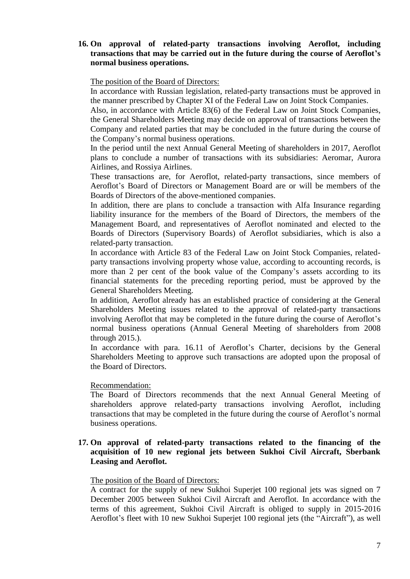# **16. On approval of related-party transactions involving Aeroflot, including transactions that may be carried out in the future during the course of Aeroflot's normal business operations.**

# The position of the Board of Directors:

In accordance with Russian legislation, related-party transactions must be approved in the manner prescribed by Chapter XI of the Federal Law on Joint Stock Companies.

Also, in accordance with Article 83(6) of the Federal Law on Joint Stock Companies, the General Shareholders Meeting may decide on approval of transactions between the Company and related parties that may be concluded in the future during the course of the Company's normal business operations.

In the period until the next Annual General Meeting of shareholders in 2017, Aeroflot plans to conclude a number of transactions with its subsidiaries: Aeromar, Aurora Airlines, and Rossiya Airlines.

These transactions are, for Aeroflot, related-party transactions, since members of Aeroflot's Board of Directors or Management Board are or will be members of the Boards of Directors of the above-mentioned companies.

In addition, there are plans to conclude a transaction with Alfa Insurance regarding liability insurance for the members of the Board of Directors, the members of the Management Board, and representatives of Aeroflot nominated and elected to the Boards of Directors (Supervisory Boards) of Aeroflot subsidiaries, which is also a related-party transaction.

In accordance with Article 83 of the Federal Law on Joint Stock Companies, relatedparty transactions involving property whose value, according to accounting records, is more than 2 per cent of the book value of the Company's assets according to its financial statements for the preceding reporting period, must be approved by the General Shareholders Meeting.

In addition, Aeroflot already has an established practice of considering at the General Shareholders Meeting issues related to the approval of related-party transactions involving Aeroflot that may be completed in the future during the course of Aeroflot's normal business operations (Annual General Meeting of shareholders from 2008 through 2015.).

In accordance with para. 16.11 of Aeroflot's Charter, decisions by the General Shareholders Meeting to approve such transactions are adopted upon the proposal of the Board of Directors.

### Recommendation:

The Board of Directors recommends that the next Annual General Meeting of shareholders approve related-party transactions involving Aeroflot, including transactions that may be completed in the future during the course of Aeroflot's normal business operations.

### **17. On approval of related-party transactions related to the financing of the acquisition of 10 new regional jets between Sukhoi Civil Aircraft, Sberbank Leasing and Aeroflot.**

#### The position of the Board of Directors:

A contract for the supply of new Sukhoi Superjet 100 regional jets was signed on 7 December 2005 between Sukhoi Civil Aircraft and Aeroflot. In accordance with the terms of this agreement, Sukhoi Civil Aircraft is obliged to supply in 2015-2016 Aeroflot's fleet with 10 new Sukhoi Superjet 100 regional jets (the "Aircraft"), as well